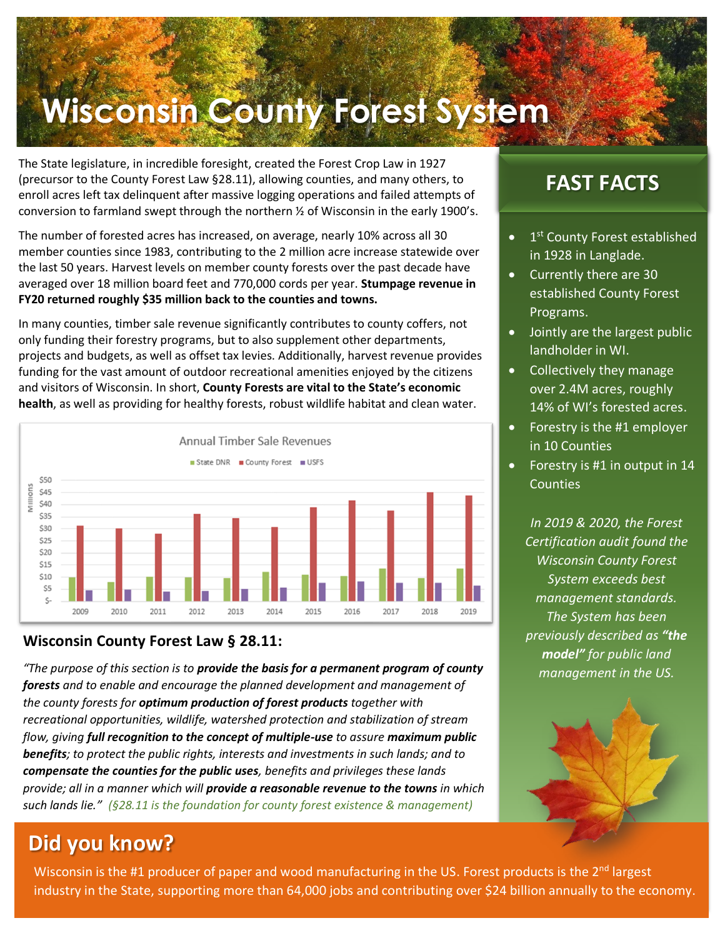# **Wisconsin County Forest System**

The State legislature, in incredible foresight, created the Forest Crop Law in 1927 (precursor to the County Forest Law §28.11), allowing counties, and many others, to enroll acres left tax delinquent after massive logging operations and failed attempts of conversion to farmland swept through the northern  $\frac{1}{2}$  of Wisconsin in the early 1900's.

The number of forested acres has increased, on average, nearly 10% across all 30 member counties since 1983, contributing to the 2 million acre increase statewide over the last 50 years. Harvest levels on member county forests over the past decade have averaged over 18 million board feet and 770,000 cords per year. **Stumpage revenue in FY20 returned roughly \$35 million back to the counties and towns.**

In many counties, timber sale revenue significantly contributes to county coffers, not only funding their forestry programs, but to also supplement other departments, projects and budgets, as well as offset tax levies. Additionally, harvest revenue provides funding for the vast amount of outdoor recreational amenities enjoyed by the citizens and visitors of Wisconsin. In short, **County Forests are vital to the State's economic health**, as well as providing for healthy forests, robust wildlife habitat and clean water.



#### **Wisconsin County Forest Law § 28.11:**

*"The purpose of this section is to provide the basis for a permanent program of county forests and to enable and encourage the planned development and management of the county forests for optimum production of forest products together with recreational opportunities, wildlife, watershed protection and stabilization of stream flow, giving full recognition to the concept of multiple-use to assure maximum public benefits; to protect the public rights, interests and investments in such lands; and to compensate the counties for the public uses, benefits and privileges these lands provide; all in a manner which will provide a reasonable revenue to the towns in which such lands lie." (§28.11 is the foundation for county forest existence & management)*

## **Did you know?**

Wisconsin is the #1 producer of paper and wood manufacturing in the US. Forest products is the 2<sup>nd</sup> largest industry in the State, supporting more than 64,000 jobs and contributing over \$24 billion annually to the economy.

### **FAST FACTS**

- 1<sup>st</sup> County Forest established in 1928 in Langlade.
- Currently there are 30 established County Forest Programs.
- Jointly are the largest public landholder in WI.
- Collectively they manage over 2.4M acres, roughly 14% of WI's forested acres.
- Forestry is the #1 employer in 10 Counties
- Forestry is #1 in output in 14 **Counties**

*In 2019 & 2020, the Forest Certification audit found the Wisconsin County Forest System exceeds best management standards. The System has been previously described as "the model" for public land management in the US.*